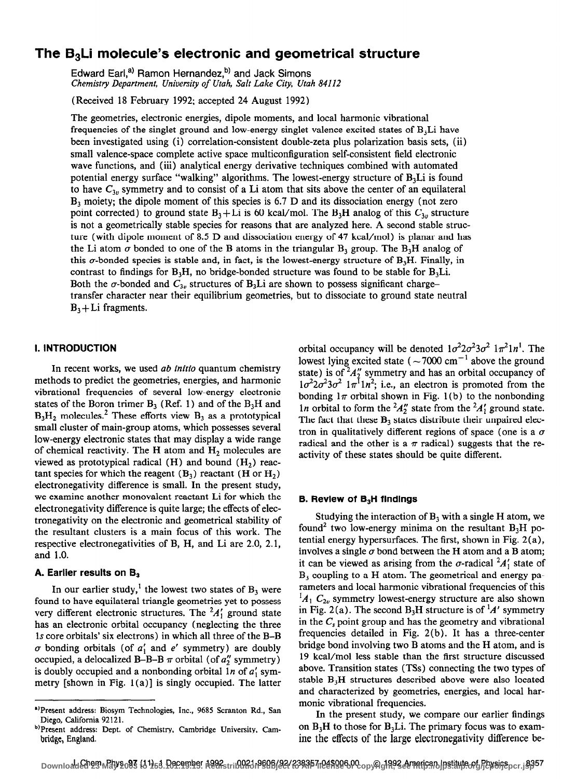# The  $B_3$ Li molecule's electronic and geometrical structure

Edward Earl,<sup>a)</sup> Ramon Hernandez,<sup>b)</sup> and Jack Simons Chemistry Department, University of Utah, Salt Lake City, Utah 84112

(Received 18 February 1992; accepted 24 August 1992)

The geometries, electronic energies, dipole moments, and local harmonic vibrational frequencies of the singlet ground and low-energy singlet valence excited states of  $B_3L$ i have been investigated using (i) correlation-consistent double-zeta plus polarization basis sets, (ii) small valence-space complete active space multiconfiguration self-consistent field electronic wave functions, and (iii) analytical energy derivative techniques combined with automated potential energy surface "walking" algorithms. The lowest-energy structure of  $B<sub>3</sub>Li$  is found to have  $C_{3v}$  symmetry and to consist of a Li atom that sits above the center of an equilateral B3 moiety; the dipole moment of this species is 6.7 D and its dissociation energy (not zero point corrected) to ground state  $B_3$ +Li is 60 kcal/mol. The  $B_3$ H analog of this  $C_{3v}$  structure is not a geometrically stable species for reasons that are analyzed here. A second stable structure (with dipole moment of 8.5 D and dissociation energy of 47 kcal/mol) is planar and has the Li atom  $\sigma$  bonded to one of the B atoms in the triangular B<sub>3</sub> group. The B<sub>3</sub>H analog of this  $\sigma$ -bonded species is stable and, in fact, is the lowest-energy structure of B<sub>3</sub>H. Finally, in contrast to findings for  $B_3H$ , no bridge-bonded structure was found to be stable for  $B_3Li$ . Both the  $\sigma$ -bonded and  $C_{3\nu}$  structures of B<sub>3</sub>Li are shown to possess significant chargetransfer character near their equilibrium geometries, but to dissociate to ground state neutral  $B_3 + Li$  fragments.

## I. INTRODUCTION

In recent works, we used *ab initio* quantum chemistry methods to predict the geometries, energies, and harmonic vibrational frequencies of several low-energy electronic states of the Boron trimer  $B_3$  (Ref. 1) and of the  $B_3H$  and  $B_3H_2$  molecules.<sup>2</sup> These efforts view  $B_3$  as a prototypical small cluster of main-group atoms, which possesses several low-energy electronic states that may display a wide range of chemical reactivity. The H atom and  $H<sub>2</sub>$  molecules are viewed as prototypical radical  $(H)$  and bound  $(H<sub>2</sub>)$  reactant species for which the reagent  $(B_3)$  reactant  $(H \text{ or } H_2)$ electronegativity difference is small. In the present study, we examine another monovalent reactant Li for which the electronegativity difference is quite large; the effects of electronegativity on the electronic and geometrical stability of the resultant clusters is a main focus of this work. The respective electronegativities of B, H, and Li are 2.0, 2.1, and 1.0.

## A. Earlier results on  $B_3$

In our earlier study,<sup>1</sup> the lowest two states of  $B_3$  were found to have equilateral triangle geometries yet to possess very different electronic structures. The  ${}^{2}A'_{1}$  ground state has an electronic orbital occupancy (neglecting the three 1s core orbitals' six electrons) in which all three of the B-B  $\sigma$  bonding orbitals (of  $a'_1$  and e' symmetry) are doubly occupied, a delocalized B-B-B  $\pi$  orbital (of  $a''_2$  symmetry) is doubly occupied and a nonbonding orbital  $1n$  of  $a'_1$  symmetry [shown in Fig.  $1(a)$ ] is singly occupied. The latter

orbital occupancy will be denoted  $1\sigma^2 2\sigma^2 3\sigma^2 1\pi^2 1n^1$ . The lowest lying excited state ( $\sim$ 7000 cm<sup>-1</sup> above the ground state) is of  $^{2}A_{2}^{\prime\prime}$  symmetry and has an orbital occupancy of  $1\sigma^2 2\sigma^2 3\sigma^2$   $1\pi^1 1n^2$ ; i.e., an electron is promoted from the bonding  $1\pi$  orbital shown in Fig. 1(b) to the nonbonding In orbital to form the  $^{2}A_{2}^{\prime\prime}$  state from the  $^{2}A_{1}^{\prime}$  ground state. The fact that these  $B_3$  states distribute their unpaired electron in qualitatively different regions of space (one is a  $\sigma$ radical and the other is a  $\pi$  radical) suggests that the reactivity of these states should be quite different.

### B. Review of  $B_3H$  findings

Studying the interaction of  $B_3$  with a single H atom, we found<sup>2</sup> two low-energy minima on the resultant  $B_3H$  potential energy hypersurfaces. The first, shown in Fig. 2 (a), involves a single  $\sigma$  bond between the H atom and a B atom; it can be viewed as arising from the  $\sigma$ -radical  $^2A_1'$  state of  $B_3$  coupling to a H atom. The geometrical and energy parameters and local harmonic vibrational frequencies of this  $A_1 C_{2v}$  symmetry lowest-energy structure are also shown in Fig. 2(a). The second B<sub>3</sub>H structure is of <sup>1</sup>A' symmetry in the  $C_s$  point group and has the geometry and vibrational frequencies detailed in Fig. 2(b). It has a three-center bridge bond involving two B atoms and the H atom, and is 19 kcal/mol less stable than the first structure discussed above. Transition states (TSs) connecting the two types of stable  $B<sub>3</sub>H$  structures described above were also located and characterized by geometries, energies, and local harmonic vibrational frequencies.

In the present study, we compare our earlier findings on  $B_3H$  to those for  $B_3Li$ . The primary focus was to examine the effects of the large electronegativity difference be-

<sup>&#</sup>x27;)Present address: Biosym Technologies, Inc., 9685 Scranton Rd., San Diego, California 92121.

b)Present address: Dept. of Chemistry, Cambridge University, Cambridge, England.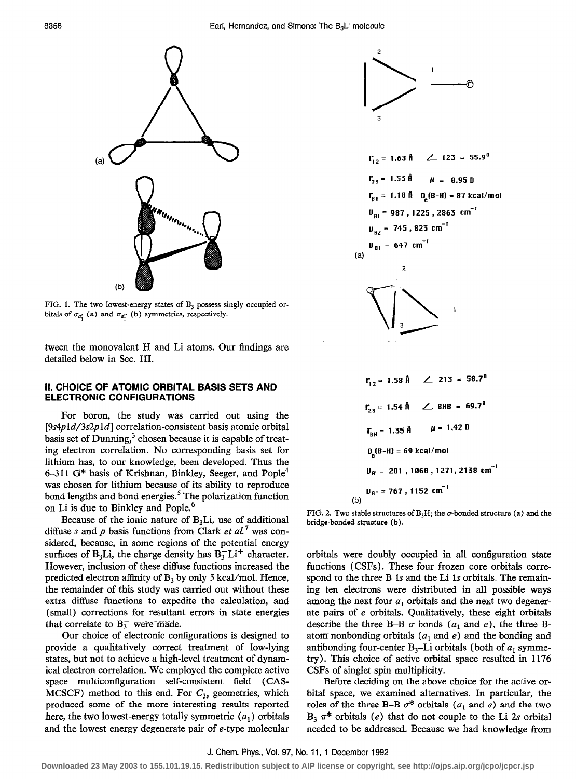

FIG. 1. The two lowest-energy states of  $B_3$  possess singly occupied orbitals of  $\sigma_{a'_{1}}$  (a) and  $\pi_{a''_{1}}$  (b) symmetries, respectively.

tween the monovalent H and Li atoms. Our findings are detailed below in Sec. III.

#### II. CHOICE OF ATOMIC ORBITAL BASIS SETS AND ELECTRONIC CONFIGURATIONS

For boron, the study was carried out using the [9s4pld/3s2pld] correlation-consistent basis atomic orbital basis set of Dunning, $3$  chosen because it is capable of treating electron correlation. No corresponding basis set for lithium has, to our knowledge, been developed. Thus the 6-311 G<sup>\*</sup> basis of Krishnan, Binkley, Seeger, and Pople<sup>4</sup> was chosen for lithium because of its ability to reproduce bond lengths and bond energies.<sup>5</sup> The polarization function on Li is due to Binkley and Pople.<sup>6</sup>

Because of the ionic nature of  $B<sub>3</sub>Li$ , use of additional diffuse s and p basis functions from Clark et  $al$ <sup>7</sup> was considered, because, in some regions of the potential energy surfaces of B<sub>3</sub>Li, the charge density has  $B_3^-L_i^+$  character. However, inclusion of these diffuse functions increased the predicted electron affinity of  $B_3$  by only 5 kcal/mol. Hence, the remainder of this study was carried out without these extra diffuse functions to expedite the calculation, and (small) corrections for resultant errors in state energies that correlate to  $B_3^-$  were made.

Our choice of electronic configurations is designed to provide a qualitatively correct treatment of low-lying states, but not to achieve a high-level treatment of dynamical electron correlation. We employed the complete active space multiconfiguration self-consistent field (CAS-MCSCF) method to this end. For  $C_{3v}$  geometries, which produced some of the more interesting results reported here, the two lowest-energy totally symmetric  $(a_1)$  orbitals and the lowest energy degenerate pair of e-type molecular





$$
r_{\text{BH}} = 1.35 \text{ \n} \quad \mu = 1.42 \text{ B}
$$
\n
$$
D_{\text{g}}(B-H) = 69 \text{ kcal/mol}
$$
\n
$$
U_{\text{R'}} = 281 \text{ , } 1060 \text{ , } 1271 \text{ , } 2138 \text{ cm}^{-1}
$$
\n
$$
U_{\text{R'}} = 767 \text{ , } 1152 \text{ cm}^{-1}
$$
\n
$$
(b)
$$

FIG. 2. Two stable structures of  $B_3H$ ; the  $\sigma$ -bonded structure (a) and the bridge-bonded structure (b).

orbitals were doubly occupied in all configuration state functions (CSFs). These four frozen core orbitals correspond to the three B 1s and the Li 1s orbitals. The remaining ten electrons were distributed in all possible ways among the next four  $a_1$  orbitals and the next two degenerate pairs of e orbitals. Qualitatively, these eight orbitals describe the three B-B  $\sigma$  bonds ( $a_1$  and  $e$ ), the three Batom nonbonding orbitals ( $a_1$  and e) and the bonding and antibonding four-center  $B_3$ -Li orbitals (both of  $a_1$  symmetry). This choice of active orbital space resulted in 1176 CSFs of singlet spin multiplicity.

Before deciding on the above choice for the active orbital space, we examined alternatives. In particular, the roles of the three B-B  $\sigma^*$  orbitals ( $a_1$  and e) and the two  $B_3 \pi^*$  orbitals (e) that do not couple to the Li 2s orbital needed to be addressed. Because we had knowledge from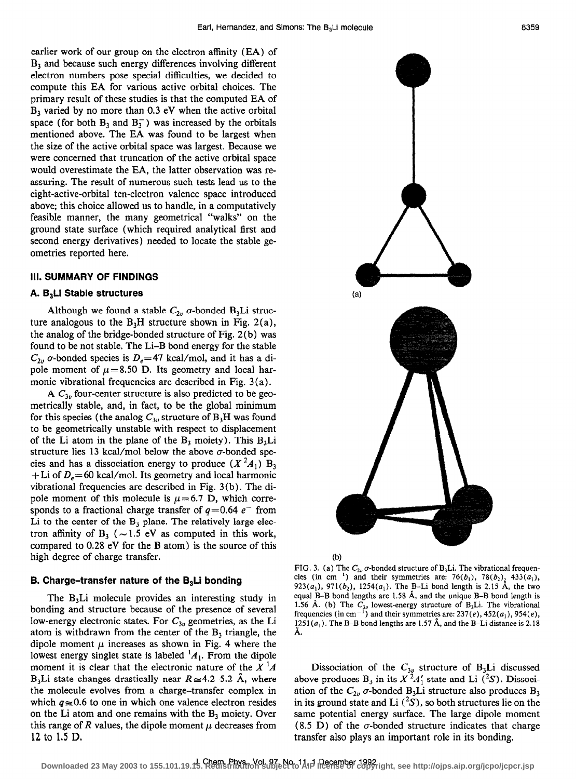earlier work of our group on the electron affinity (EA) of  $B<sub>3</sub>$  and because such energy differences involving different electron numbers pose special difficulties, we decided to compute this EA for various active orbital choices. The primary result of these studies is that the computed EA of  $B<sub>3</sub>$  varied by no more than 0.3 eV when the active orbital space (for both  $B_3$  and  $B_3^-$ ) was increased by the orbitals mentioned above. The EA was found to be largest when the size of the active orbital space was largest. Because we were concerned that truncation of the active orbital space would overestimate the EA, the latter observation was reassuring. The result of numerous such tests lead us to the eight-active-orbital ten-electron valence space introduced above; this choice allowed us to handle, in a computatively feasible manner, the many geometrical "walks" on the ground state surface (which required analytical first and second energy derivatives) needed to locate the stable geometries reported here.

#### Ill. SUMMARY OF FINDINGS

#### A. B,Li Stable structures

Although we found a stable  $C_{2v}$  *o*-bonded B<sub>3</sub>Li structure analogous to the  $B_3H$  structure shown in Fig. 2(a), the analog of the bridge-bonded structure of Fig. 2(b) was found to be not stable. The Li-B bond energy for the stable  $C_{2v}$  *o*-bonded species is  $D_e = 47$  kcal/mol, and it has a dipole moment of  $\mu$ = 8.50 D. Its geometry and local harmonic vibrational frequencies are described in Fig. 3 (a).

A  $C_{3v}$  four-center structure is also predicted to be geometrically stable, and, in fact, to be the global minimum for this species (the analog  $C_{3v}$  structure of  $B_3H$  was found to be geometrically unstable with respect to displacement of the Li atom in the plane of the  $B_3$  moiety). This  $B_3Li$ structure lies 13 kcal/mol below the above  $\sigma$ -bonded species and has a dissociation energy to produce  $(X^2A_1)$  B<sub>3</sub> + Li of  $D_e$  = 60 kcal/mol. Its geometry and local harmonic vibrational frequencies are described in Fig. 3(b). The dipole moment of this molecule is  $\mu$  = 6.7 D, which corresponds to a fractional charge transfer of  $q=0.64$  e<sup>-</sup> from Li to the center of the  $B_3$  plane. The relatively large electron affinity of  $B_3$  ( $\sim$  1.5 eV as computed in this work, compared to 0.28 eV for the B atom) is the source of this high degree of charge transfer.

#### B. Charge-transfer nature of the  $B<sub>3</sub>$ Li bonding

The  $B_3L$  molecule provides an interesting study in bonding and structure because of the presence of several low-energy electronic states. For  $C_{3v}$  geometries, as the Li atom is withdrawn from the center of the  $B_3$  triangle, the dipole moment  $\mu$  increases as shown in Fig. 4 where the lowest energy singlet state is labeled  ${}^{1}A_{1}$ . From the dipole moment it is clear that the electronic nature of the  $X^{\dagger}A$ B<sub>3</sub>Li state changes drastically near  $R \approx 4.2-5.2$  Å, where the molecule evolves from a charge-transfer complex in which  $q \approx 0.6$  to one in which one valence electron resides on the Li atom and one remains with the  $B_3$  moiety. Over this range of  $R$  values, the dipole moment  $\mu$  decreases from 12 to 1.5 D.





FIG. 3. (a) The  $C_{2\nu}$   $\sigma$ -bonded structure of B<sub>3</sub>Li. The vibrational frequencies (in cm<sup>-1</sup>) and their symmetries are: 76( $b_1$ ), 78( $b_2$ )<sub>2</sub>, 433( $a_1$ ), 923( $a_1$ ), 971( $b_2$ ), 1254( $a_1$ ). The B-Li bond length is 2.15 Å, the two equal B-B bond lengths are 1.58 A, and the unique B-B bond length is 1.56 Å. (b) The  $C_{3v}$  lowest-energy structure of B<sub>3</sub>Li. The vibrational frequencies (in cm<sup>-1</sup>) and their symmetries are: 237(e), 452( $a_1$ ), 954(e), 1251( $a_1$ ). The B-B bond lengths are 1.57 Å, and the B-Li distance is 2.18 Ă.

Dissociation of the  $C_{3v}$  structure of B<sub>3</sub>Li discussed above produces  $B_3$  in its  $X^2A_1'$  state and Li ( $^2S$ ). Dissociation of the  $C_{2v}$   $\sigma$ -bonded B<sub>3</sub>Li structure also produces B<sub>3</sub> in its ground state and Li  $({}^{2}S)$ , so both structures lie on the same potential energy surface. The large dipole moment (8.5 D) of the  $\sigma$ -bonded structure indicates that charge transfer also plays an important role in its bonding.